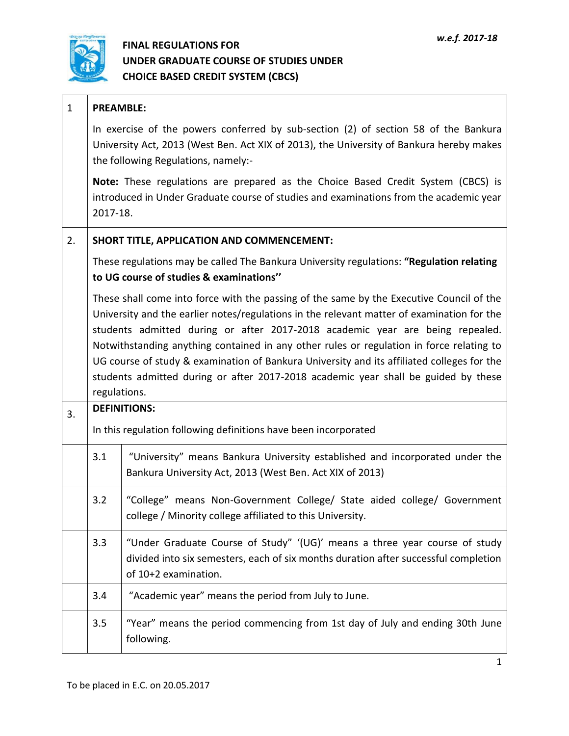

| $\mathbf{1}$ |          | <b>PREAMBLE:</b>                                                                                                                                                                                                                                                                                                                                                                                                                                                                                                                                                        |  |  |  |  |  |  |  |
|--------------|----------|-------------------------------------------------------------------------------------------------------------------------------------------------------------------------------------------------------------------------------------------------------------------------------------------------------------------------------------------------------------------------------------------------------------------------------------------------------------------------------------------------------------------------------------------------------------------------|--|--|--|--|--|--|--|
|              |          | In exercise of the powers conferred by sub-section (2) of section 58 of the Bankura<br>University Act, 2013 (West Ben. Act XIX of 2013), the University of Bankura hereby makes<br>the following Regulations, namely:-                                                                                                                                                                                                                                                                                                                                                  |  |  |  |  |  |  |  |
|              | 2017-18. | Note: These regulations are prepared as the Choice Based Credit System (CBCS) is<br>introduced in Under Graduate course of studies and examinations from the academic year                                                                                                                                                                                                                                                                                                                                                                                              |  |  |  |  |  |  |  |
| 2.           |          | SHORT TITLE, APPLICATION AND COMMENCEMENT:                                                                                                                                                                                                                                                                                                                                                                                                                                                                                                                              |  |  |  |  |  |  |  |
|              |          | These regulations may be called The Bankura University regulations: "Regulation relating<br>to UG course of studies & examinations"                                                                                                                                                                                                                                                                                                                                                                                                                                     |  |  |  |  |  |  |  |
|              |          | These shall come into force with the passing of the same by the Executive Council of the<br>University and the earlier notes/regulations in the relevant matter of examination for the<br>students admitted during or after 2017-2018 academic year are being repealed.<br>Notwithstanding anything contained in any other rules or regulation in force relating to<br>UG course of study & examination of Bankura University and its affiliated colleges for the<br>students admitted during or after 2017-2018 academic year shall be guided by these<br>regulations. |  |  |  |  |  |  |  |
| 3.           |          | <b>DEFINITIONS:</b>                                                                                                                                                                                                                                                                                                                                                                                                                                                                                                                                                     |  |  |  |  |  |  |  |
|              |          | In this regulation following definitions have been incorporated                                                                                                                                                                                                                                                                                                                                                                                                                                                                                                         |  |  |  |  |  |  |  |
|              | 3.1      | "University" means Bankura University established and incorporated under the<br>Bankura University Act, 2013 (West Ben. Act XIX of 2013)                                                                                                                                                                                                                                                                                                                                                                                                                                |  |  |  |  |  |  |  |
|              | 3.2      | "College" means Non-Government College/ State aided college/ Government<br>college / Minority college affiliated to this University.                                                                                                                                                                                                                                                                                                                                                                                                                                    |  |  |  |  |  |  |  |
|              | 3.3      | "Under Graduate Course of Study" '(UG)' means a three year course of study<br>divided into six semesters, each of six months duration after successful completion<br>of 10+2 examination.                                                                                                                                                                                                                                                                                                                                                                               |  |  |  |  |  |  |  |
|              | 3.4      | "Academic year" means the period from July to June.                                                                                                                                                                                                                                                                                                                                                                                                                                                                                                                     |  |  |  |  |  |  |  |
|              | 3.5      | "Year" means the period commencing from 1st day of July and ending 30th June<br>following.                                                                                                                                                                                                                                                                                                                                                                                                                                                                              |  |  |  |  |  |  |  |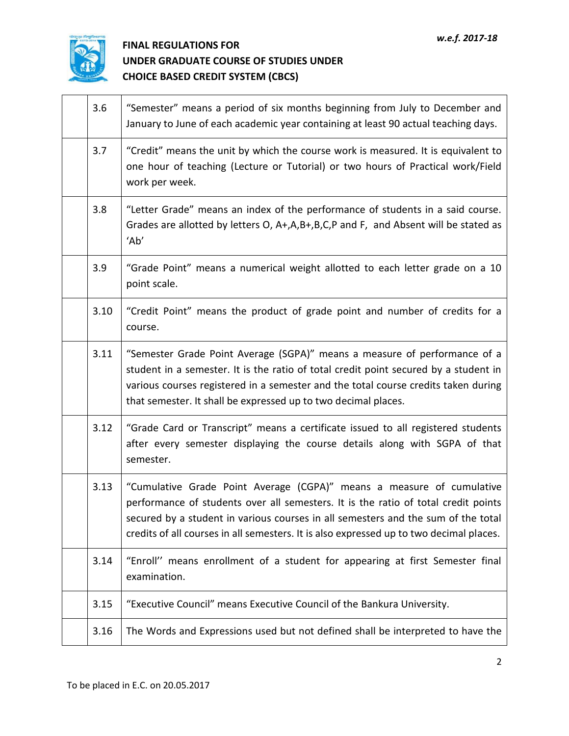

| 3.6  | "Semester" means a period of six months beginning from July to December and<br>January to June of each academic year containing at least 90 actual teaching days.                                                                                                                                                                           |
|------|---------------------------------------------------------------------------------------------------------------------------------------------------------------------------------------------------------------------------------------------------------------------------------------------------------------------------------------------|
| 3.7  | "Credit" means the unit by which the course work is measured. It is equivalent to<br>one hour of teaching (Lecture or Tutorial) or two hours of Practical work/Field<br>work per week.                                                                                                                                                      |
| 3.8  | "Letter Grade" means an index of the performance of students in a said course.<br>Grades are allotted by letters O, A+,A,B+,B,C,P and F, and Absent will be stated as<br>'Ab'                                                                                                                                                               |
| 3.9  | "Grade Point" means a numerical weight allotted to each letter grade on a 10<br>point scale.                                                                                                                                                                                                                                                |
| 3.10 | "Credit Point" means the product of grade point and number of credits for a<br>course.                                                                                                                                                                                                                                                      |
| 3.11 | "Semester Grade Point Average (SGPA)" means a measure of performance of a<br>student in a semester. It is the ratio of total credit point secured by a student in<br>various courses registered in a semester and the total course credits taken during<br>that semester. It shall be expressed up to two decimal places.                   |
| 3.12 | "Grade Card or Transcript" means a certificate issued to all registered students<br>after every semester displaying the course details along with SGPA of that<br>semester.                                                                                                                                                                 |
| 3.13 | "Cumulative Grade Point Average (CGPA)" means a measure of cumulative<br>performance of students over all semesters. It is the ratio of total credit points<br>secured by a student in various courses in all semesters and the sum of the total<br>credits of all courses in all semesters. It is also expressed up to two decimal places. |
| 3.14 | "Enroll" means enrollment of a student for appearing at first Semester final<br>examination.                                                                                                                                                                                                                                                |
| 3.15 | "Executive Council" means Executive Council of the Bankura University.                                                                                                                                                                                                                                                                      |
| 3.16 | The Words and Expressions used but not defined shall be interpreted to have the                                                                                                                                                                                                                                                             |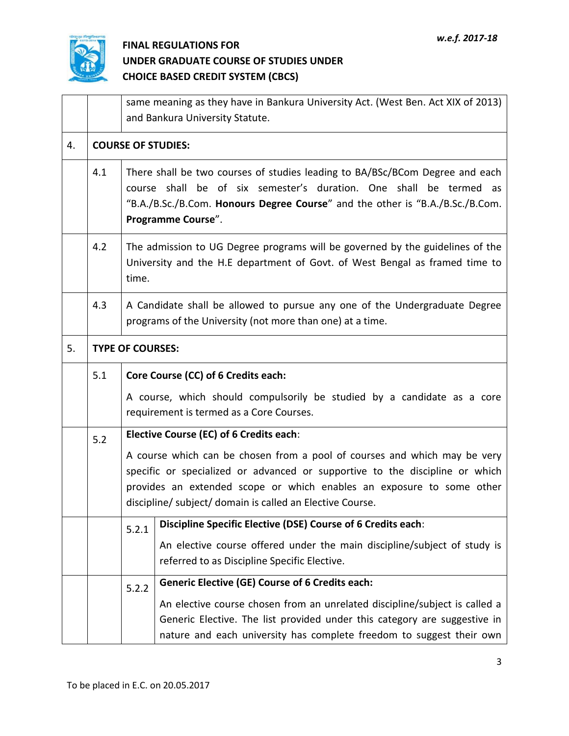

|    |     | same meaning as they have in Bankura University Act. (West Ben. Act XIX of 2013)<br>and Bankura University Statute.                                                                                                                                       |  |  |  |  |  |  |  |
|----|-----|-----------------------------------------------------------------------------------------------------------------------------------------------------------------------------------------------------------------------------------------------------------|--|--|--|--|--|--|--|
| 4. |     | <b>COURSE OF STUDIES:</b>                                                                                                                                                                                                                                 |  |  |  |  |  |  |  |
|    | 4.1 | There shall be two courses of studies leading to BA/BSc/BCom Degree and each<br>course shall be of six semester's duration. One shall be termed as<br>"B.A./B.Sc./B.Com. Honours Degree Course" and the other is "B.A./B.Sc./B.Com.<br>Programme Course". |  |  |  |  |  |  |  |
|    | 4.2 | The admission to UG Degree programs will be governed by the guidelines of the<br>University and the H.E department of Govt. of West Bengal as framed time to<br>time.                                                                                     |  |  |  |  |  |  |  |
|    | 4.3 | A Candidate shall be allowed to pursue any one of the Undergraduate Degree<br>programs of the University (not more than one) at a time.                                                                                                                   |  |  |  |  |  |  |  |
| 5. |     | <b>TYPE OF COURSES:</b>                                                                                                                                                                                                                                   |  |  |  |  |  |  |  |
|    | 5.1 | Core Course (CC) of 6 Credits each:                                                                                                                                                                                                                       |  |  |  |  |  |  |  |
|    |     | A course, which should compulsorily be studied by a candidate as a core<br>requirement is termed as a Core Courses.                                                                                                                                       |  |  |  |  |  |  |  |
|    | 5.2 | Elective Course (EC) of 6 Credits each:                                                                                                                                                                                                                   |  |  |  |  |  |  |  |
|    |     | A course which can be chosen from a pool of courses and which may be very<br>specific or specialized or advanced or supportive to the discipline or which                                                                                                 |  |  |  |  |  |  |  |
|    |     | provides an extended scope or which enables an exposure to some other<br>discipline/ subject/ domain is called an Elective Course.                                                                                                                        |  |  |  |  |  |  |  |
|    |     | Discipline Specific Elective (DSE) Course of 6 Credits each:<br>5.2.1                                                                                                                                                                                     |  |  |  |  |  |  |  |
|    |     | An elective course offered under the main discipline/subject of study is<br>referred to as Discipline Specific Elective.                                                                                                                                  |  |  |  |  |  |  |  |
|    |     | <b>Generic Elective (GE) Course of 6 Credits each:</b><br>5.2.2                                                                                                                                                                                           |  |  |  |  |  |  |  |
|    |     | An elective course chosen from an unrelated discipline/subject is called a<br>Generic Elective. The list provided under this category are suggestive in<br>nature and each university has complete freedom to suggest their own                           |  |  |  |  |  |  |  |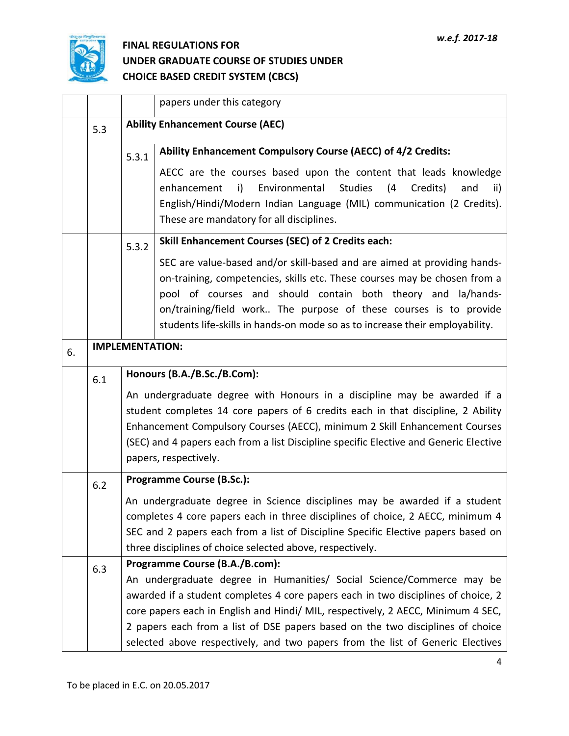

|    |     | papers under this category                                                     |                                                                                                                                                |  |  |  |  |  |  |
|----|-----|--------------------------------------------------------------------------------|------------------------------------------------------------------------------------------------------------------------------------------------|--|--|--|--|--|--|
|    | 5.3 |                                                                                | <b>Ability Enhancement Course (AEC)</b>                                                                                                        |  |  |  |  |  |  |
|    |     | 5.3.1                                                                          | Ability Enhancement Compulsory Course (AECC) of 4/2 Credits:                                                                                   |  |  |  |  |  |  |
|    |     |                                                                                | AECC are the courses based upon the content that leads knowledge                                                                               |  |  |  |  |  |  |
|    |     |                                                                                | Environmental<br>i)<br><b>Studies</b><br>(4)<br>Credits)<br>enhancement<br>and<br>ii)                                                          |  |  |  |  |  |  |
|    |     |                                                                                | English/Hindi/Modern Indian Language (MIL) communication (2 Credits).<br>These are mandatory for all disciplines.                              |  |  |  |  |  |  |
|    |     |                                                                                |                                                                                                                                                |  |  |  |  |  |  |
|    |     | 5.3.2                                                                          | <b>Skill Enhancement Courses (SEC) of 2 Credits each:</b>                                                                                      |  |  |  |  |  |  |
|    |     |                                                                                | SEC are value-based and/or skill-based and are aimed at providing hands-                                                                       |  |  |  |  |  |  |
|    |     |                                                                                | on-training, competencies, skills etc. These courses may be chosen from a<br>pool of courses and should contain both theory and la/hands-      |  |  |  |  |  |  |
|    |     |                                                                                | on/training/field work The purpose of these courses is to provide                                                                              |  |  |  |  |  |  |
|    |     |                                                                                | students life-skills in hands-on mode so as to increase their employability.                                                                   |  |  |  |  |  |  |
|    |     | <b>IMPLEMENTATION:</b>                                                         |                                                                                                                                                |  |  |  |  |  |  |
| 6. |     |                                                                                |                                                                                                                                                |  |  |  |  |  |  |
|    | 6.1 |                                                                                | Honours (B.A./B.Sc./B.Com):                                                                                                                    |  |  |  |  |  |  |
|    |     |                                                                                | An undergraduate degree with Honours in a discipline may be awarded if a                                                                       |  |  |  |  |  |  |
|    |     |                                                                                | student completes 14 core papers of 6 credits each in that discipline, 2 Ability                                                               |  |  |  |  |  |  |
|    |     |                                                                                | Enhancement Compulsory Courses (AECC), minimum 2 Skill Enhancement Courses                                                                     |  |  |  |  |  |  |
|    |     |                                                                                | (SEC) and 4 papers each from a list Discipline specific Elective and Generic Elective<br>papers, respectively.                                 |  |  |  |  |  |  |
|    |     |                                                                                |                                                                                                                                                |  |  |  |  |  |  |
|    | 6.2 | Programme Course (B.Sc.):                                                      |                                                                                                                                                |  |  |  |  |  |  |
|    |     |                                                                                | An undergraduate degree in Science disciplines may be awarded if a student                                                                     |  |  |  |  |  |  |
|    |     | completes 4 core papers each in three disciplines of choice, 2 AECC, minimum 4 |                                                                                                                                                |  |  |  |  |  |  |
|    |     |                                                                                | SEC and 2 papers each from a list of Discipline Specific Elective papers based on<br>three disciplines of choice selected above, respectively. |  |  |  |  |  |  |
|    |     |                                                                                | Programme Course (B.A./B.com):                                                                                                                 |  |  |  |  |  |  |
|    | 6.3 |                                                                                | An undergraduate degree in Humanities/ Social Science/Commerce may be                                                                          |  |  |  |  |  |  |
|    |     |                                                                                | awarded if a student completes 4 core papers each in two disciplines of choice, 2                                                              |  |  |  |  |  |  |
|    |     |                                                                                | core papers each in English and Hindi/ MIL, respectively, 2 AECC, Minimum 4 SEC,                                                               |  |  |  |  |  |  |
|    |     |                                                                                | 2 papers each from a list of DSE papers based on the two disciplines of choice                                                                 |  |  |  |  |  |  |
|    |     |                                                                                | selected above respectively, and two papers from the list of Generic Electives                                                                 |  |  |  |  |  |  |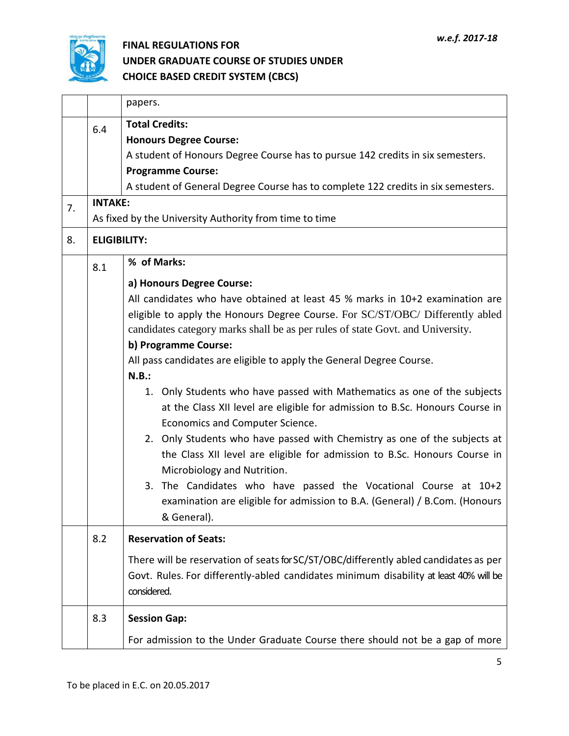

|    |                     | papers.                                                                                                                                                                                                                                                                                                                                                                                                                                                                                                                                                                                                                                                                                                                                                                                                                                                                                                                                         |
|----|---------------------|-------------------------------------------------------------------------------------------------------------------------------------------------------------------------------------------------------------------------------------------------------------------------------------------------------------------------------------------------------------------------------------------------------------------------------------------------------------------------------------------------------------------------------------------------------------------------------------------------------------------------------------------------------------------------------------------------------------------------------------------------------------------------------------------------------------------------------------------------------------------------------------------------------------------------------------------------|
|    | 6.4                 | <b>Total Credits:</b><br><b>Honours Degree Course:</b><br>A student of Honours Degree Course has to pursue 142 credits in six semesters.<br><b>Programme Course:</b>                                                                                                                                                                                                                                                                                                                                                                                                                                                                                                                                                                                                                                                                                                                                                                            |
|    |                     | A student of General Degree Course has to complete 122 credits in six semesters.                                                                                                                                                                                                                                                                                                                                                                                                                                                                                                                                                                                                                                                                                                                                                                                                                                                                |
| 7. | <b>INTAKE:</b>      | As fixed by the University Authority from time to time                                                                                                                                                                                                                                                                                                                                                                                                                                                                                                                                                                                                                                                                                                                                                                                                                                                                                          |
| 8. | <b>ELIGIBILITY:</b> |                                                                                                                                                                                                                                                                                                                                                                                                                                                                                                                                                                                                                                                                                                                                                                                                                                                                                                                                                 |
|    | 8.1                 | % of Marks:                                                                                                                                                                                                                                                                                                                                                                                                                                                                                                                                                                                                                                                                                                                                                                                                                                                                                                                                     |
|    |                     | a) Honours Degree Course:<br>All candidates who have obtained at least 45 % marks in $10+2$ examination are<br>eligible to apply the Honours Degree Course. For SC/ST/OBC/ Differently abled<br>candidates category marks shall be as per rules of state Govt. and University.<br>b) Programme Course:<br>All pass candidates are eligible to apply the General Degree Course.<br>N.B.:<br>1. Only Students who have passed with Mathematics as one of the subjects<br>at the Class XII level are eligible for admission to B.Sc. Honours Course in<br>Economics and Computer Science.<br>2. Only Students who have passed with Chemistry as one of the subjects at<br>the Class XII level are eligible for admission to B.Sc. Honours Course in<br>Microbiology and Nutrition.<br>3. The Candidates who have passed the Vocational Course at 10+2<br>examination are eligible for admission to B.A. (General) / B.Com. (Honours<br>& General). |
|    | 8.2                 | <b>Reservation of Seats:</b>                                                                                                                                                                                                                                                                                                                                                                                                                                                                                                                                                                                                                                                                                                                                                                                                                                                                                                                    |
|    |                     | There will be reservation of seats for SC/ST/OBC/differently abled candidates as per<br>Govt. Rules. For differently-abled candidates minimum disability at least 40% will be<br>considered.                                                                                                                                                                                                                                                                                                                                                                                                                                                                                                                                                                                                                                                                                                                                                    |
|    | 8.3                 | <b>Session Gap:</b><br>For admission to the Under Graduate Course there should not be a gap of more                                                                                                                                                                                                                                                                                                                                                                                                                                                                                                                                                                                                                                                                                                                                                                                                                                             |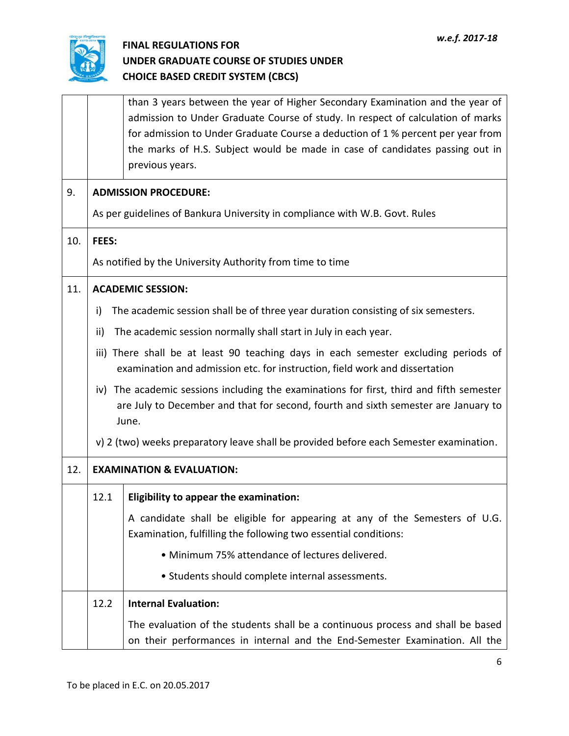

|     |                                      | than 3 years between the year of Higher Secondary Examination and the year of<br>admission to Under Graduate Course of study. In respect of calculation of marks<br>for admission to Under Graduate Course a deduction of 1 % percent per year from<br>the marks of H.S. Subject would be made in case of candidates passing out in<br>previous years. |  |  |  |  |  |  |
|-----|--------------------------------------|--------------------------------------------------------------------------------------------------------------------------------------------------------------------------------------------------------------------------------------------------------------------------------------------------------------------------------------------------------|--|--|--|--|--|--|
| 9.  |                                      | <b>ADMISSION PROCEDURE:</b>                                                                                                                                                                                                                                                                                                                            |  |  |  |  |  |  |
|     |                                      | As per guidelines of Bankura University in compliance with W.B. Govt. Rules                                                                                                                                                                                                                                                                            |  |  |  |  |  |  |
| 10. | FEES:                                |                                                                                                                                                                                                                                                                                                                                                        |  |  |  |  |  |  |
|     |                                      | As notified by the University Authority from time to time                                                                                                                                                                                                                                                                                              |  |  |  |  |  |  |
| 11. |                                      | <b>ACADEMIC SESSION:</b>                                                                                                                                                                                                                                                                                                                               |  |  |  |  |  |  |
|     | i)                                   | The academic session shall be of three year duration consisting of six semesters.                                                                                                                                                                                                                                                                      |  |  |  |  |  |  |
|     | ii)                                  | The academic session normally shall start in July in each year.                                                                                                                                                                                                                                                                                        |  |  |  |  |  |  |
|     |                                      | iii) There shall be at least 90 teaching days in each semester excluding periods of<br>examination and admission etc. for instruction, field work and dissertation                                                                                                                                                                                     |  |  |  |  |  |  |
|     |                                      | iv) The academic sessions including the examinations for first, third and fifth semester<br>are July to December and that for second, fourth and sixth semester are January to<br>June.                                                                                                                                                                |  |  |  |  |  |  |
|     |                                      | v) 2 (two) weeks preparatory leave shall be provided before each Semester examination.                                                                                                                                                                                                                                                                 |  |  |  |  |  |  |
| 12. | <b>EXAMINATION &amp; EVALUATION:</b> |                                                                                                                                                                                                                                                                                                                                                        |  |  |  |  |  |  |
|     | 12.1                                 | <b>Eligibility to appear the examination:</b>                                                                                                                                                                                                                                                                                                          |  |  |  |  |  |  |
|     |                                      | A candidate shall be eligible for appearing at any of the Semesters of U.G.<br>Examination, fulfilling the following two essential conditions:                                                                                                                                                                                                         |  |  |  |  |  |  |
|     |                                      | • Minimum 75% attendance of lectures delivered.                                                                                                                                                                                                                                                                                                        |  |  |  |  |  |  |
|     |                                      | • Students should complete internal assessments.                                                                                                                                                                                                                                                                                                       |  |  |  |  |  |  |
|     | 12.2                                 | <b>Internal Evaluation:</b>                                                                                                                                                                                                                                                                                                                            |  |  |  |  |  |  |
|     |                                      | The evaluation of the students shall be a continuous process and shall be based<br>on their performances in internal and the End-Semester Examination. All the                                                                                                                                                                                         |  |  |  |  |  |  |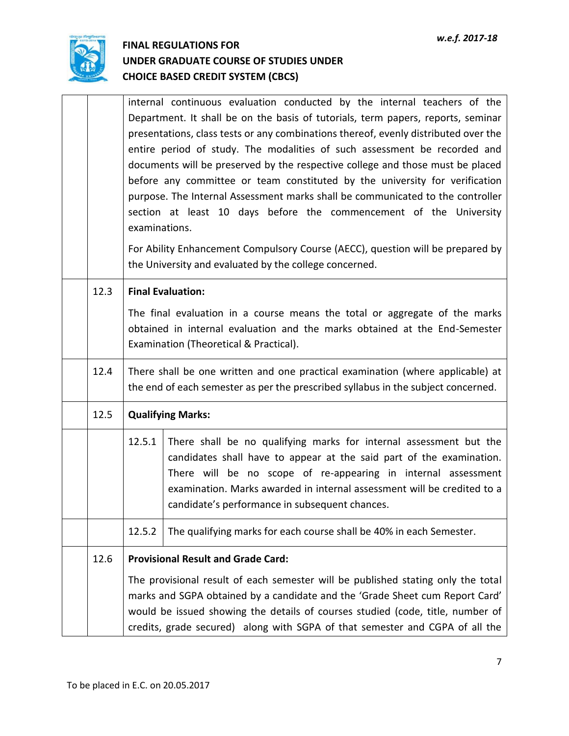

|      |                                                                                                                                                                     | internal continuous evaluation conducted by the internal teachers of the<br>Department. It shall be on the basis of tutorials, term papers, reports, seminar<br>presentations, class tests or any combinations thereof, evenly distributed over the<br>entire period of study. The modalities of such assessment be recorded and<br>documents will be preserved by the respective college and those must be placed<br>before any committee or team constituted by the university for verification<br>purpose. The Internal Assessment marks shall be communicated to the controller<br>section at least 10 days before the commencement of the University<br>examinations.<br>For Ability Enhancement Compulsory Course (AECC), question will be prepared by<br>the University and evaluated by the college concerned. |  |  |  |  |  |  |
|------|---------------------------------------------------------------------------------------------------------------------------------------------------------------------|------------------------------------------------------------------------------------------------------------------------------------------------------------------------------------------------------------------------------------------------------------------------------------------------------------------------------------------------------------------------------------------------------------------------------------------------------------------------------------------------------------------------------------------------------------------------------------------------------------------------------------------------------------------------------------------------------------------------------------------------------------------------------------------------------------------------|--|--|--|--|--|--|
| 12.3 |                                                                                                                                                                     | <b>Final Evaluation:</b><br>The final evaluation in a course means the total or aggregate of the marks<br>obtained in internal evaluation and the marks obtained at the End-Semester<br>Examination (Theoretical & Practical).                                                                                                                                                                                                                                                                                                                                                                                                                                                                                                                                                                                         |  |  |  |  |  |  |
| 12.4 | There shall be one written and one practical examination (where applicable) at<br>the end of each semester as per the prescribed syllabus in the subject concerned. |                                                                                                                                                                                                                                                                                                                                                                                                                                                                                                                                                                                                                                                                                                                                                                                                                        |  |  |  |  |  |  |
| 12.5 | <b>Qualifying Marks:</b>                                                                                                                                            |                                                                                                                                                                                                                                                                                                                                                                                                                                                                                                                                                                                                                                                                                                                                                                                                                        |  |  |  |  |  |  |
|      | 12.5.1                                                                                                                                                              | There shall be no qualifying marks for internal assessment but the<br>candidates shall have to appear at the said part of the examination.<br>There will be no scope of re-appearing in internal assessment<br>examination. Marks awarded in internal assessment will be credited to a<br>candidate's performance in subsequent chances.                                                                                                                                                                                                                                                                                                                                                                                                                                                                               |  |  |  |  |  |  |
|      | 12.5.2                                                                                                                                                              | The qualifying marks for each course shall be 40% in each Semester.                                                                                                                                                                                                                                                                                                                                                                                                                                                                                                                                                                                                                                                                                                                                                    |  |  |  |  |  |  |
| 12.6 |                                                                                                                                                                     | <b>Provisional Result and Grade Card:</b>                                                                                                                                                                                                                                                                                                                                                                                                                                                                                                                                                                                                                                                                                                                                                                              |  |  |  |  |  |  |
|      |                                                                                                                                                                     | The provisional result of each semester will be published stating only the total<br>marks and SGPA obtained by a candidate and the 'Grade Sheet cum Report Card'<br>would be issued showing the details of courses studied (code, title, number of<br>credits, grade secured) along with SGPA of that semester and CGPA of all the                                                                                                                                                                                                                                                                                                                                                                                                                                                                                     |  |  |  |  |  |  |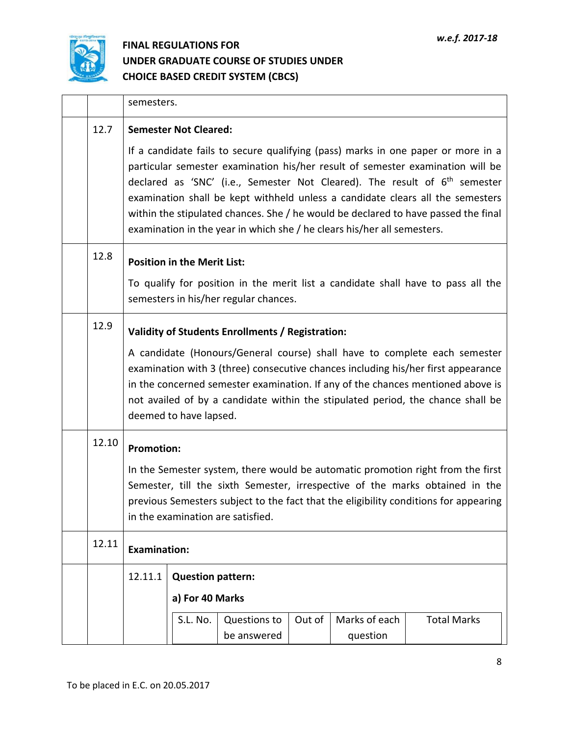

|       | semesters.                                                                                                                                                                                                                                                                                                                                                     |                                                                                                                                                                                                                                                                                                                                                                                                                                                                                                       |              |        |               |                    |  |  |  |  |
|-------|----------------------------------------------------------------------------------------------------------------------------------------------------------------------------------------------------------------------------------------------------------------------------------------------------------------------------------------------------------------|-------------------------------------------------------------------------------------------------------------------------------------------------------------------------------------------------------------------------------------------------------------------------------------------------------------------------------------------------------------------------------------------------------------------------------------------------------------------------------------------------------|--------------|--------|---------------|--------------------|--|--|--|--|
| 12.7  |                                                                                                                                                                                                                                                                                                                                                                | <b>Semester Not Cleared:</b>                                                                                                                                                                                                                                                                                                                                                                                                                                                                          |              |        |               |                    |  |  |  |  |
|       |                                                                                                                                                                                                                                                                                                                                                                | If a candidate fails to secure qualifying (pass) marks in one paper or more in a<br>particular semester examination his/her result of semester examination will be<br>declared as 'SNC' (i.e., Semester Not Cleared). The result of $6th$ semester<br>examination shall be kept withheld unless a candidate clears all the semesters<br>within the stipulated chances. She / he would be declared to have passed the final<br>examination in the year in which she / he clears his/her all semesters. |              |        |               |                    |  |  |  |  |
| 12.8  |                                                                                                                                                                                                                                                                                                                                                                | <b>Position in the Merit List:</b>                                                                                                                                                                                                                                                                                                                                                                                                                                                                    |              |        |               |                    |  |  |  |  |
|       |                                                                                                                                                                                                                                                                                                                                                                | To qualify for position in the merit list a candidate shall have to pass all the<br>semesters in his/her regular chances.                                                                                                                                                                                                                                                                                                                                                                             |              |        |               |                    |  |  |  |  |
| 12.9  |                                                                                                                                                                                                                                                                                                                                                                | Validity of Students Enrollments / Registration:                                                                                                                                                                                                                                                                                                                                                                                                                                                      |              |        |               |                    |  |  |  |  |
|       | A candidate (Honours/General course) shall have to complete each semester<br>examination with 3 (three) consecutive chances including his/her first appearance<br>in the concerned semester examination. If any of the chances mentioned above is<br>not availed of by a candidate within the stipulated period, the chance shall be<br>deemed to have lapsed. |                                                                                                                                                                                                                                                                                                                                                                                                                                                                                                       |              |        |               |                    |  |  |  |  |
| 12.10 |                                                                                                                                                                                                                                                                                                                                                                | <b>Promotion:</b>                                                                                                                                                                                                                                                                                                                                                                                                                                                                                     |              |        |               |                    |  |  |  |  |
|       | In the Semester system, there would be automatic promotion right from the first<br>Semester, till the sixth Semester, irrespective of the marks obtained in the<br>previous Semesters subject to the fact that the eligibility conditions for appearing<br>in the examination are satisfied.                                                                   |                                                                                                                                                                                                                                                                                                                                                                                                                                                                                                       |              |        |               |                    |  |  |  |  |
| 12.11 | <b>Examination:</b>                                                                                                                                                                                                                                                                                                                                            |                                                                                                                                                                                                                                                                                                                                                                                                                                                                                                       |              |        |               |                    |  |  |  |  |
|       | 12.11.1                                                                                                                                                                                                                                                                                                                                                        | <b>Question pattern:</b>                                                                                                                                                                                                                                                                                                                                                                                                                                                                              |              |        |               |                    |  |  |  |  |
|       |                                                                                                                                                                                                                                                                                                                                                                | a) For 40 Marks                                                                                                                                                                                                                                                                                                                                                                                                                                                                                       |              |        |               |                    |  |  |  |  |
|       |                                                                                                                                                                                                                                                                                                                                                                | S.L. No.                                                                                                                                                                                                                                                                                                                                                                                                                                                                                              | Questions to | Out of | Marks of each | <b>Total Marks</b> |  |  |  |  |
|       |                                                                                                                                                                                                                                                                                                                                                                |                                                                                                                                                                                                                                                                                                                                                                                                                                                                                                       | be answered  |        | question      |                    |  |  |  |  |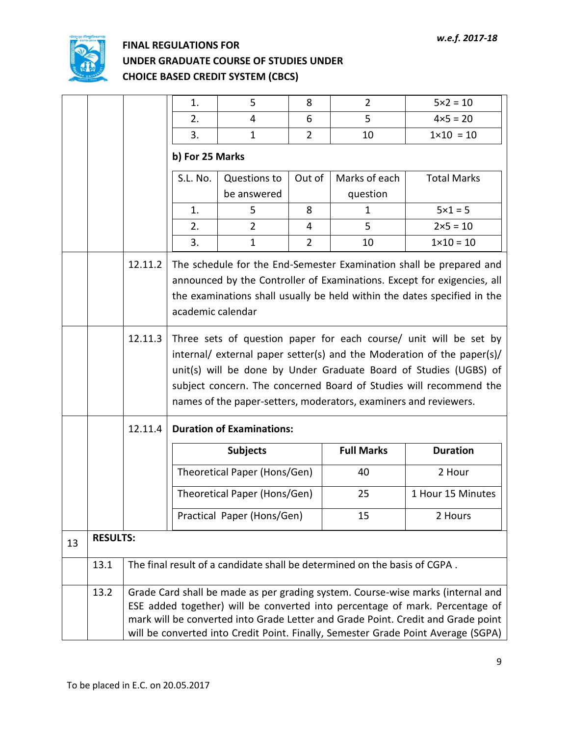

|    |                 |                                                                                                                                                                                                                                                                                                                                          | 1.                                                                                                                                                                                                                                                                                                                                                         | 5                            | 8              | $\overline{2}$                                                            | $5 \times 2 = 10$  |  |  |  |
|----|-----------------|------------------------------------------------------------------------------------------------------------------------------------------------------------------------------------------------------------------------------------------------------------------------------------------------------------------------------------------|------------------------------------------------------------------------------------------------------------------------------------------------------------------------------------------------------------------------------------------------------------------------------------------------------------------------------------------------------------|------------------------------|----------------|---------------------------------------------------------------------------|--------------------|--|--|--|
|    |                 |                                                                                                                                                                                                                                                                                                                                          | 2.                                                                                                                                                                                                                                                                                                                                                         | 4                            | 6              | 5                                                                         | $4 \times 5 = 20$  |  |  |  |
|    |                 |                                                                                                                                                                                                                                                                                                                                          | 3.                                                                                                                                                                                                                                                                                                                                                         | $\mathbf{1}$                 | $\overline{2}$ | 10                                                                        | $1 \times 10 = 10$ |  |  |  |
|    |                 |                                                                                                                                                                                                                                                                                                                                          | b) For 25 Marks                                                                                                                                                                                                                                                                                                                                            |                              |                |                                                                           |                    |  |  |  |
|    |                 |                                                                                                                                                                                                                                                                                                                                          | S.L. No.<br>Questions to                                                                                                                                                                                                                                                                                                                                   |                              | Out of         | Marks of each                                                             | <b>Total Marks</b> |  |  |  |
|    |                 |                                                                                                                                                                                                                                                                                                                                          |                                                                                                                                                                                                                                                                                                                                                            | be answered                  |                | question                                                                  |                    |  |  |  |
|    |                 |                                                                                                                                                                                                                                                                                                                                          | 1.                                                                                                                                                                                                                                                                                                                                                         | 5                            | 8              | $\mathbf{1}$                                                              | $5 \times 1 = 5$   |  |  |  |
|    |                 |                                                                                                                                                                                                                                                                                                                                          | 2.                                                                                                                                                                                                                                                                                                                                                         | $\overline{2}$               | 4              | 5                                                                         | $2 \times 5 = 10$  |  |  |  |
|    |                 |                                                                                                                                                                                                                                                                                                                                          | 3.                                                                                                                                                                                                                                                                                                                                                         | $\mathbf{1}$                 | $\overline{2}$ | 10                                                                        | $1 \times 10 = 10$ |  |  |  |
|    |                 | 12.11.2                                                                                                                                                                                                                                                                                                                                  | The schedule for the End-Semester Examination shall be prepared and<br>announced by the Controller of Examinations. Except for exigencies, all<br>the examinations shall usually be held within the dates specified in the<br>academic calendar                                                                                                            |                              |                |                                                                           |                    |  |  |  |
|    |                 | 12.11.3                                                                                                                                                                                                                                                                                                                                  | Three sets of question paper for each course/ unit will be set by<br>internal/ external paper setter(s) and the Moderation of the paper(s)/<br>unit(s) will be done by Under Graduate Board of Studies (UGBS) of<br>subject concern. The concerned Board of Studies will recommend the<br>names of the paper-setters, moderators, examiners and reviewers. |                              |                |                                                                           |                    |  |  |  |
|    |                 | 12.11.4                                                                                                                                                                                                                                                                                                                                  | <b>Duration of Examinations:</b>                                                                                                                                                                                                                                                                                                                           |                              |                |                                                                           |                    |  |  |  |
|    |                 |                                                                                                                                                                                                                                                                                                                                          |                                                                                                                                                                                                                                                                                                                                                            | <b>Subjects</b>              |                | <b>Full Marks</b>                                                         | <b>Duration</b>    |  |  |  |
|    |                 |                                                                                                                                                                                                                                                                                                                                          |                                                                                                                                                                                                                                                                                                                                                            | Theoretical Paper (Hons/Gen) |                | 40                                                                        | 2 Hour             |  |  |  |
|    |                 |                                                                                                                                                                                                                                                                                                                                          |                                                                                                                                                                                                                                                                                                                                                            | Theoretical Paper (Hons/Gen) |                | 25                                                                        | 1 Hour 15 Minutes  |  |  |  |
|    |                 |                                                                                                                                                                                                                                                                                                                                          |                                                                                                                                                                                                                                                                                                                                                            | Practical Paper (Hons/Gen)   |                | 15                                                                        | 2 Hours            |  |  |  |
| 13 | <b>RESULTS:</b> |                                                                                                                                                                                                                                                                                                                                          |                                                                                                                                                                                                                                                                                                                                                            |                              |                |                                                                           |                    |  |  |  |
|    | 13.1            |                                                                                                                                                                                                                                                                                                                                          |                                                                                                                                                                                                                                                                                                                                                            |                              |                | The final result of a candidate shall be determined on the basis of CGPA. |                    |  |  |  |
|    | 13.2            | Grade Card shall be made as per grading system. Course-wise marks (internal and<br>ESE added together) will be converted into percentage of mark. Percentage of<br>mark will be converted into Grade Letter and Grade Point. Credit and Grade point<br>will be converted into Credit Point. Finally, Semester Grade Point Average (SGPA) |                                                                                                                                                                                                                                                                                                                                                            |                              |                |                                                                           |                    |  |  |  |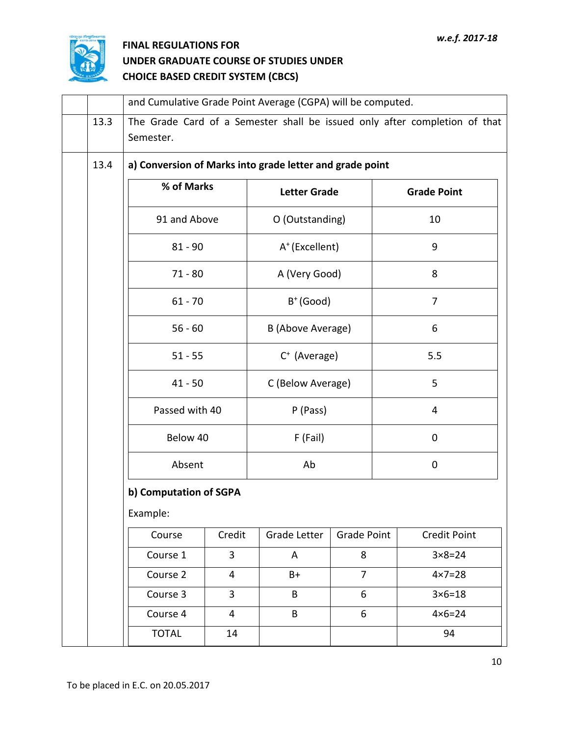

|                                                                  | and Cumulative Grade Point Average (CGPA) will be computed.                             |                |                            |                |                     |  |  |  |
|------------------------------------------------------------------|-----------------------------------------------------------------------------------------|----------------|----------------------------|----------------|---------------------|--|--|--|
| 13.3                                                             | The Grade Card of a Semester shall be issued only after completion of that<br>Semester. |                |                            |                |                     |  |  |  |
| a) Conversion of Marks into grade letter and grade point<br>13.4 |                                                                                         |                |                            |                |                     |  |  |  |
|                                                                  | % of Marks                                                                              |                | <b>Letter Grade</b>        |                | <b>Grade Point</b>  |  |  |  |
|                                                                  | 91 and Above                                                                            |                | O (Outstanding)            |                | 10                  |  |  |  |
|                                                                  | $81 - 90$                                                                               |                | A <sup>+</sup> (Excellent) |                | 9                   |  |  |  |
|                                                                  | $71 - 80$                                                                               |                | A (Very Good)              |                | 8                   |  |  |  |
|                                                                  | $61 - 70$                                                                               |                | $B^+(Good)$                |                | 7                   |  |  |  |
|                                                                  | $56 - 60$                                                                               |                | B (Above Average)          |                | 6                   |  |  |  |
|                                                                  | $51 - 55$                                                                               |                | $C^+$ (Average)            |                | 5.5                 |  |  |  |
|                                                                  | $41 - 50$                                                                               |                | C (Below Average)          |                | 5                   |  |  |  |
|                                                                  | Passed with 40                                                                          |                | P (Pass)                   |                | 4                   |  |  |  |
|                                                                  | Below 40                                                                                |                | F (Fail)                   |                | 0                   |  |  |  |
|                                                                  | Absent                                                                                  |                | Ab                         |                | $\mathbf 0$         |  |  |  |
| b) Computation of SGPA                                           |                                                                                         |                |                            |                |                     |  |  |  |
|                                                                  | Example:                                                                                |                |                            |                |                     |  |  |  |
|                                                                  | Course                                                                                  | Credit         | Grade Letter               | Grade Point    | <b>Credit Point</b> |  |  |  |
|                                                                  | Course 1                                                                                | $\overline{3}$ | A                          | 8              | $3 \times 8 = 24$   |  |  |  |
|                                                                  | Course 2                                                                                | 4              | $B+$                       | $\overline{7}$ | $4 \times 7 = 28$   |  |  |  |
|                                                                  | Course 3                                                                                | $\overline{3}$ | B                          | 6              | $3 \times 6 = 18$   |  |  |  |
|                                                                  | Course 4                                                                                | 4              | B                          | 6              | $4 \times 6 = 24$   |  |  |  |
|                                                                  | <b>TOTAL</b>                                                                            | 14             |                            |                | 94                  |  |  |  |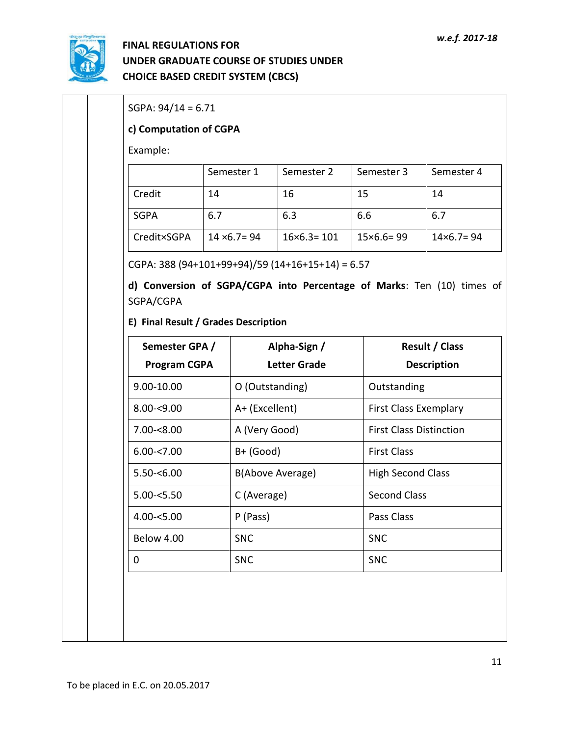

| Example:                              |     |                      |                                     |                          |                                             |  |
|---------------------------------------|-----|----------------------|-------------------------------------|--------------------------|---------------------------------------------|--|
|                                       |     | Semester 1           | Semester 2                          | Semester 3               | Semester 4                                  |  |
| Credit                                | 14  |                      | 16                                  | 15                       | 14                                          |  |
| <b>SGPA</b>                           | 6.7 |                      | 6.3                                 | 6.6                      | 6.7                                         |  |
| Credit×SGPA                           |     | $14 \times 6.7 = 94$ | $16\times 6.3 = 101$                | $15\times 6.6 = 99$      | $14\times 6.7 = 94$                         |  |
| E) Final Result / Grades Description  |     |                      |                                     |                          |                                             |  |
| Semester GPA /<br><b>Program CGPA</b> |     |                      | Alpha-Sign /<br><b>Letter Grade</b> |                          | <b>Result / Class</b><br><b>Description</b> |  |
| 9.00-10.00                            |     | O (Outstanding)      |                                     | Outstanding              |                                             |  |
| $8.00 - 9.00$                         |     | A+ (Excellent)       |                                     |                          | First Class Exemplary                       |  |
| $7.00 - 8.00$                         |     | A (Very Good)        |                                     |                          | <b>First Class Distinction</b>              |  |
| $6.00 - 7.00$                         |     | $B+$ (Good)          |                                     | <b>First Class</b>       |                                             |  |
| $5.50 - 6.00$                         |     |                      | B(Above Average)                    | <b>High Second Class</b> |                                             |  |
| $5.00 - 5.50$                         |     | C (Average)          |                                     | <b>Second Class</b>      |                                             |  |
| $4.00 - 5.00$                         |     | P (Pass)             |                                     | Pass Class               |                                             |  |
|                                       |     | <b>SNC</b>           |                                     | <b>SNC</b>               |                                             |  |
| Below 4.00                            |     | <b>SNC</b>           |                                     | <b>SNC</b>               |                                             |  |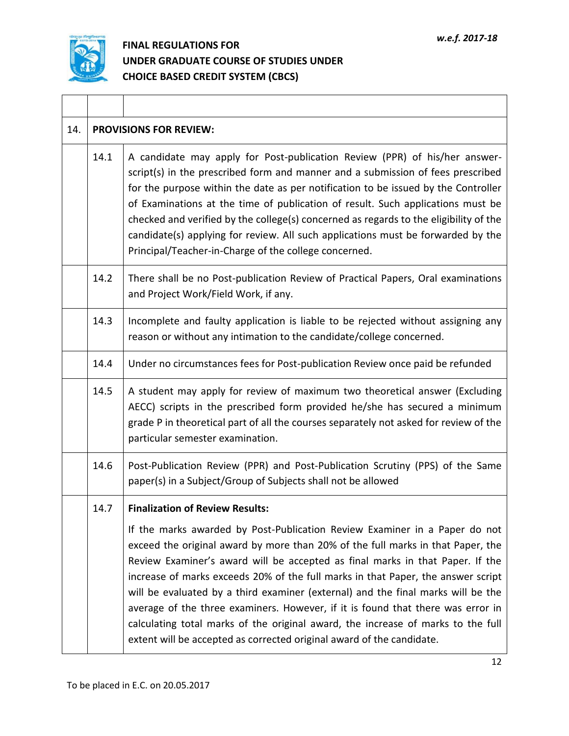

 $\perp$ 

| 14. |      | <b>PROVISIONS FOR REVIEW:</b>                                                                                                                                                                                                                                                                                                                                                                                                                                                                                                                                                                                                                                          |
|-----|------|------------------------------------------------------------------------------------------------------------------------------------------------------------------------------------------------------------------------------------------------------------------------------------------------------------------------------------------------------------------------------------------------------------------------------------------------------------------------------------------------------------------------------------------------------------------------------------------------------------------------------------------------------------------------|
|     | 14.1 | A candidate may apply for Post-publication Review (PPR) of his/her answer-<br>script(s) in the prescribed form and manner and a submission of fees prescribed<br>for the purpose within the date as per notification to be issued by the Controller<br>of Examinations at the time of publication of result. Such applications must be<br>checked and verified by the college(s) concerned as regards to the eligibility of the<br>candidate(s) applying for review. All such applications must be forwarded by the<br>Principal/Teacher-in-Charge of the college concerned.                                                                                           |
|     | 14.2 | There shall be no Post-publication Review of Practical Papers, Oral examinations<br>and Project Work/Field Work, if any.                                                                                                                                                                                                                                                                                                                                                                                                                                                                                                                                               |
|     | 14.3 | Incomplete and faulty application is liable to be rejected without assigning any<br>reason or without any intimation to the candidate/college concerned.                                                                                                                                                                                                                                                                                                                                                                                                                                                                                                               |
|     | 14.4 | Under no circumstances fees for Post-publication Review once paid be refunded                                                                                                                                                                                                                                                                                                                                                                                                                                                                                                                                                                                          |
|     | 14.5 | A student may apply for review of maximum two theoretical answer (Excluding<br>AECC) scripts in the prescribed form provided he/she has secured a minimum<br>grade P in theoretical part of all the courses separately not asked for review of the<br>particular semester examination.                                                                                                                                                                                                                                                                                                                                                                                 |
|     | 14.6 | Post-Publication Review (PPR) and Post-Publication Scrutiny (PPS) of the Same<br>paper(s) in a Subject/Group of Subjects shall not be allowed                                                                                                                                                                                                                                                                                                                                                                                                                                                                                                                          |
|     | 14.7 | <b>Finalization of Review Results:</b>                                                                                                                                                                                                                                                                                                                                                                                                                                                                                                                                                                                                                                 |
|     |      | If the marks awarded by Post-Publication Review Examiner in a Paper do not<br>exceed the original award by more than 20% of the full marks in that Paper, the<br>Review Examiner's award will be accepted as final marks in that Paper. If the<br>increase of marks exceeds 20% of the full marks in that Paper, the answer script<br>will be evaluated by a third examiner (external) and the final marks will be the<br>average of the three examiners. However, if it is found that there was error in<br>calculating total marks of the original award, the increase of marks to the full<br>extent will be accepted as corrected original award of the candidate. |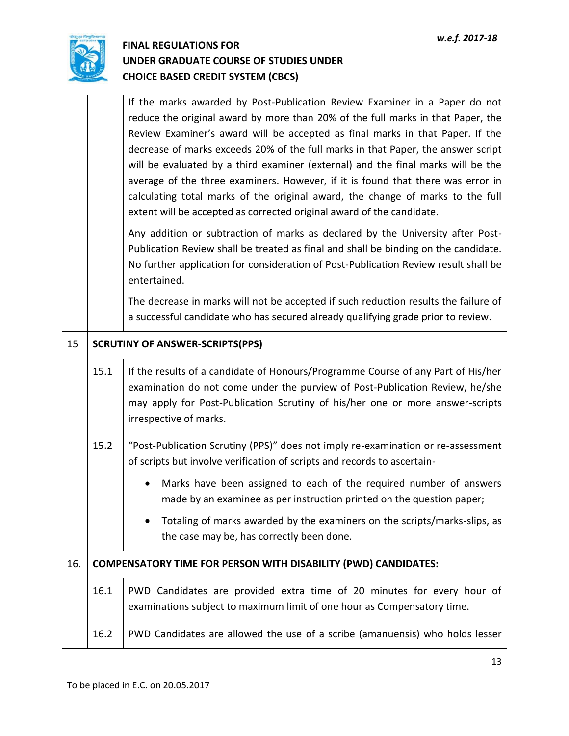

|     |      | If the marks awarded by Post-Publication Review Examiner in a Paper do not<br>reduce the original award by more than 20% of the full marks in that Paper, the<br>Review Examiner's award will be accepted as final marks in that Paper. If the<br>decrease of marks exceeds 20% of the full marks in that Paper, the answer script<br>will be evaluated by a third examiner (external) and the final marks will be the<br>average of the three examiners. However, if it is found that there was error in<br>calculating total marks of the original award, the change of marks to the full<br>extent will be accepted as corrected original award of the candidate. |  |
|-----|------|----------------------------------------------------------------------------------------------------------------------------------------------------------------------------------------------------------------------------------------------------------------------------------------------------------------------------------------------------------------------------------------------------------------------------------------------------------------------------------------------------------------------------------------------------------------------------------------------------------------------------------------------------------------------|--|
|     |      | Any addition or subtraction of marks as declared by the University after Post-<br>Publication Review shall be treated as final and shall be binding on the candidate.<br>No further application for consideration of Post-Publication Review result shall be<br>entertained.                                                                                                                                                                                                                                                                                                                                                                                         |  |
|     |      | The decrease in marks will not be accepted if such reduction results the failure of<br>a successful candidate who has secured already qualifying grade prior to review.                                                                                                                                                                                                                                                                                                                                                                                                                                                                                              |  |
| 15  |      | <b>SCRUTINY OF ANSWER-SCRIPTS(PPS)</b>                                                                                                                                                                                                                                                                                                                                                                                                                                                                                                                                                                                                                               |  |
|     | 15.1 | If the results of a candidate of Honours/Programme Course of any Part of His/her<br>examination do not come under the purview of Post-Publication Review, he/she<br>may apply for Post-Publication Scrutiny of his/her one or more answer-scripts<br>irrespective of marks.                                                                                                                                                                                                                                                                                                                                                                                          |  |
|     | 15.2 | "Post-Publication Scrutiny (PPS)" does not imply re-examination or re-assessment<br>of scripts but involve verification of scripts and records to ascertain-                                                                                                                                                                                                                                                                                                                                                                                                                                                                                                         |  |
|     |      | Marks have been assigned to each of the required number of answers<br>$\bullet$<br>made by an examinee as per instruction printed on the question paper;                                                                                                                                                                                                                                                                                                                                                                                                                                                                                                             |  |
|     |      | Totaling of marks awarded by the examiners on the scripts/marks-slips, as<br>the case may be, has correctly been done.                                                                                                                                                                                                                                                                                                                                                                                                                                                                                                                                               |  |
| 16. |      | <b>COMPENSATORY TIME FOR PERSON WITH DISABILITY (PWD) CANDIDATES:</b>                                                                                                                                                                                                                                                                                                                                                                                                                                                                                                                                                                                                |  |
|     | 16.1 | PWD Candidates are provided extra time of 20 minutes for every hour of<br>examinations subject to maximum limit of one hour as Compensatory time.                                                                                                                                                                                                                                                                                                                                                                                                                                                                                                                    |  |
|     | 16.2 | PWD Candidates are allowed the use of a scribe (amanuensis) who holds lesser                                                                                                                                                                                                                                                                                                                                                                                                                                                                                                                                                                                         |  |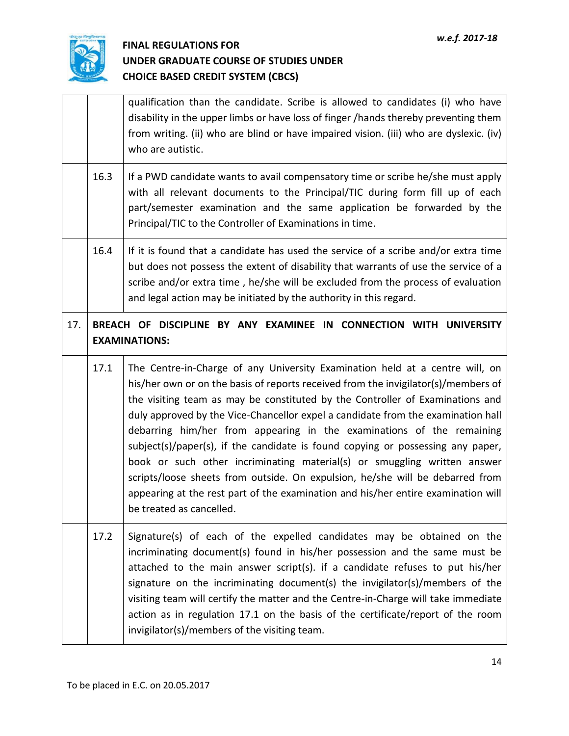

|     |                                                                                            | qualification than the candidate. Scribe is allowed to candidates (i) who have<br>disability in the upper limbs or have loss of finger /hands thereby preventing them<br>from writing. (ii) who are blind or have impaired vision. (iii) who are dyslexic. (iv)<br>who are autistic.                                                                                                                                                                                                                                                                                                                                                                                                                                                                                              |
|-----|--------------------------------------------------------------------------------------------|-----------------------------------------------------------------------------------------------------------------------------------------------------------------------------------------------------------------------------------------------------------------------------------------------------------------------------------------------------------------------------------------------------------------------------------------------------------------------------------------------------------------------------------------------------------------------------------------------------------------------------------------------------------------------------------------------------------------------------------------------------------------------------------|
|     | 16.3                                                                                       | If a PWD candidate wants to avail compensatory time or scribe he/she must apply<br>with all relevant documents to the Principal/TIC during form fill up of each<br>part/semester examination and the same application be forwarded by the<br>Principal/TIC to the Controller of Examinations in time.                                                                                                                                                                                                                                                                                                                                                                                                                                                                             |
|     | 16.4                                                                                       | If it is found that a candidate has used the service of a scribe and/or extra time<br>but does not possess the extent of disability that warrants of use the service of a<br>scribe and/or extra time, he/she will be excluded from the process of evaluation<br>and legal action may be initiated by the authority in this regard.                                                                                                                                                                                                                                                                                                                                                                                                                                               |
| 17. | BREACH OF DISCIPLINE BY ANY EXAMINEE IN CONNECTION WITH UNIVERSITY<br><b>EXAMINATIONS:</b> |                                                                                                                                                                                                                                                                                                                                                                                                                                                                                                                                                                                                                                                                                                                                                                                   |
|     | 17.1                                                                                       | The Centre-in-Charge of any University Examination held at a centre will, on<br>his/her own or on the basis of reports received from the invigilator(s)/members of<br>the visiting team as may be constituted by the Controller of Examinations and<br>duly approved by the Vice-Chancellor expel a candidate from the examination hall<br>debarring him/her from appearing in the examinations of the remaining<br>subject(s)/paper(s), if the candidate is found copying or possessing any paper,<br>book or such other incriminating material(s) or smuggling written answer<br>scripts/loose sheets from outside. On expulsion, he/she will be debarred from<br>appearing at the rest part of the examination and his/her entire examination will<br>be treated as cancelled. |
|     | 17.2                                                                                       | Signature(s) of each of the expelled candidates may be obtained on the<br>incriminating document(s) found in his/her possession and the same must be<br>attached to the main answer script(s). if a candidate refuses to put his/her<br>signature on the incriminating document(s) the invigilator(s)/members of the<br>visiting team will certify the matter and the Centre-in-Charge will take immediate<br>action as in regulation 17.1 on the basis of the certificate/report of the room<br>invigilator(s)/members of the visiting team.                                                                                                                                                                                                                                     |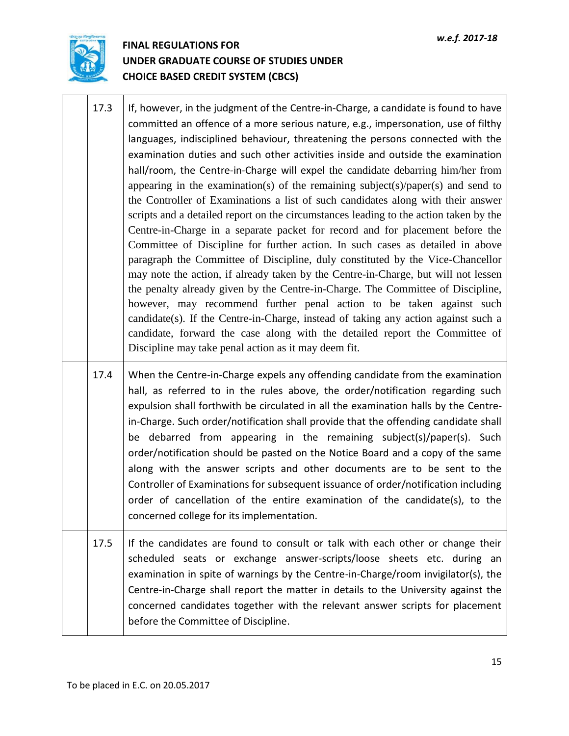

- 17.3 If, however, in the judgment of the Centre-in-Charge, a candidate is found to have committed an offence of a more serious nature, e.g., impersonation, use of filthy languages, indisciplined behaviour, threatening the persons connected with the examination duties and such other activities inside and outside the examination hall/room, the Centre-in-Charge will expel the candidate debarring him/her from appearing in the examination(s) of the remaining subject(s)/paper(s) and send to the Controller of Examinations a list of such candidates along with their answer scripts and a detailed report on the circumstances leading to the action taken by the Centre-in-Charge in a separate packet for record and for placement before the Committee of Discipline for further action. In such cases as detailed in above paragraph the Committee of Discipline, duly constituted by the Vice-Chancellor may note the action, if already taken by the Centre-in-Charge, but will not lessen the penalty already given by the Centre-in-Charge. The Committee of Discipline, however, may recommend further penal action to be taken against such candidate(s). If the Centre-in-Charge, instead of taking any action against such a candidate, forward the case along with the detailed report the Committee of Discipline may take penal action as it may deem fit. 17.4 When the Centre-in-Charge expels any offending candidate from the examination hall, as referred to in the rules above, the order/notification regarding such
- expulsion shall forthwith be circulated in all the examination halls by the Centrein-Charge. Such order/notification shall provide that the offending candidate shall be debarred from appearing in the remaining subject(s)/paper(s). Such order/notification should be pasted on the Notice Board and a copy of the same along with the answer scripts and other documents are to be sent to the Controller of Examinations for subsequent issuance of order/notification including order of cancellation of the entire examination of the candidate(s), to the concerned college for its implementation.
- 17.5 If the candidates are found to consult or talk with each other or change their scheduled seats or exchange answer-scripts/loose sheets etc. during an examination in spite of warnings by the Centre-in-Charge/room invigilator(s), the Centre-in-Charge shall report the matter in details to the University against the concerned candidates together with the relevant answer scripts for placement before the Committee of Discipline.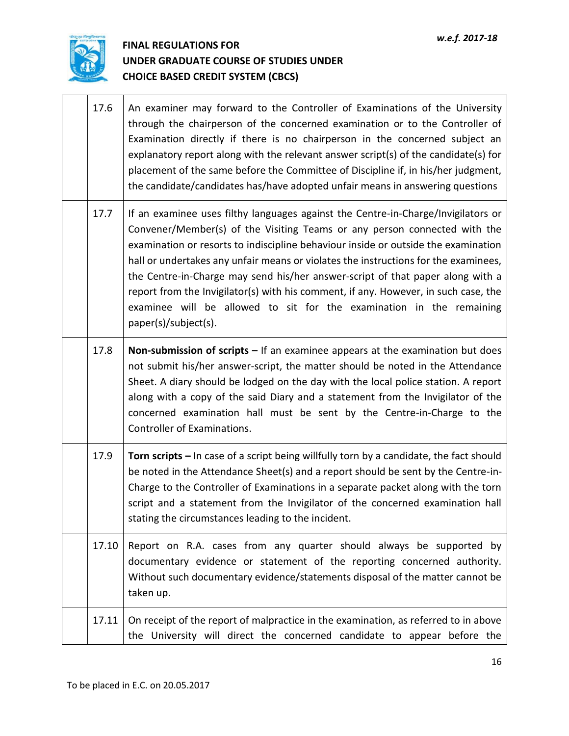$\overline{\phantom{a}}$ 



 $\top$ 

 $\Gamma$ 

| 17.6  | An examiner may forward to the Controller of Examinations of the University<br>through the chairperson of the concerned examination or to the Controller of<br>Examination directly if there is no chairperson in the concerned subject an<br>explanatory report along with the relevant answer script(s) of the candidate(s) for<br>placement of the same before the Committee of Discipline if, in his/her judgment,<br>the candidate/candidates has/have adopted unfair means in answering questions                                                                                                              |
|-------|----------------------------------------------------------------------------------------------------------------------------------------------------------------------------------------------------------------------------------------------------------------------------------------------------------------------------------------------------------------------------------------------------------------------------------------------------------------------------------------------------------------------------------------------------------------------------------------------------------------------|
| 17.7  | If an examinee uses filthy languages against the Centre-in-Charge/Invigilators or<br>Convener/Member(s) of the Visiting Teams or any person connected with the<br>examination or resorts to indiscipline behaviour inside or outside the examination<br>hall or undertakes any unfair means or violates the instructions for the examinees,<br>the Centre-in-Charge may send his/her answer-script of that paper along with a<br>report from the Invigilator(s) with his comment, if any. However, in such case, the<br>examinee will be allowed to sit for the examination in the remaining<br>paper(s)/subject(s). |
| 17.8  | Non-submission of scripts $-$ If an examinee appears at the examination but does<br>not submit his/her answer-script, the matter should be noted in the Attendance<br>Sheet. A diary should be lodged on the day with the local police station. A report<br>along with a copy of the said Diary and a statement from the Invigilator of the<br>concerned examination hall must be sent by the Centre-in-Charge to the<br>Controller of Examinations.                                                                                                                                                                 |
| 17.9  | Torn scripts – In case of a script being willfully torn by a candidate, the fact should<br>be noted in the Attendance Sheet(s) and a report should be sent by the Centre-in-<br>Charge to the Controller of Examinations in a separate packet along with the torn<br>script and a statement from the Invigilator of the concerned examination hall<br>stating the circumstances leading to the incident.                                                                                                                                                                                                             |
| 17.10 | Report on R.A. cases from any quarter should always be supported by<br>documentary evidence or statement of the reporting concerned authority.<br>Without such documentary evidence/statements disposal of the matter cannot be<br>taken up.                                                                                                                                                                                                                                                                                                                                                                         |
| 17.11 | On receipt of the report of malpractice in the examination, as referred to in above<br>the University will direct the concerned candidate to appear before the                                                                                                                                                                                                                                                                                                                                                                                                                                                       |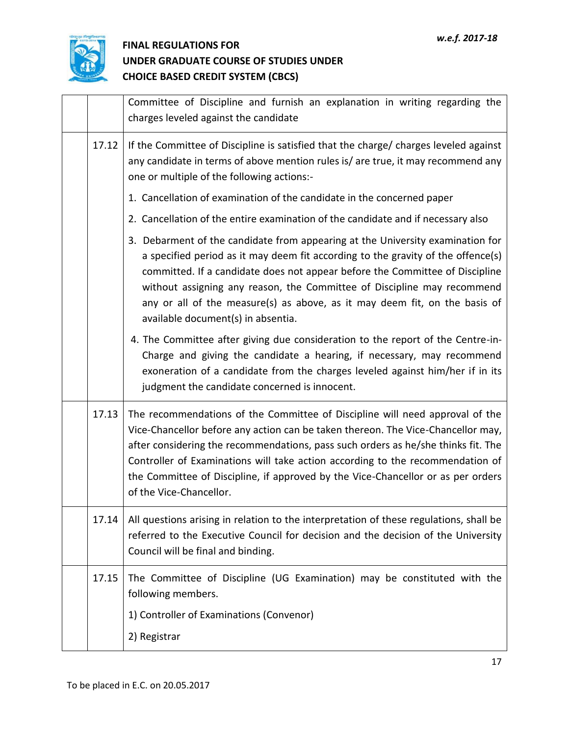

|       | Committee of Discipline and furnish an explanation in writing regarding the<br>charges leveled against the candidate                                                                                                                                                                                                                                                                                                                                   |
|-------|--------------------------------------------------------------------------------------------------------------------------------------------------------------------------------------------------------------------------------------------------------------------------------------------------------------------------------------------------------------------------------------------------------------------------------------------------------|
| 17.12 | If the Committee of Discipline is satisfied that the charge/ charges leveled against<br>any candidate in terms of above mention rules is/ are true, it may recommend any<br>one or multiple of the following actions:-                                                                                                                                                                                                                                 |
|       | 1. Cancellation of examination of the candidate in the concerned paper                                                                                                                                                                                                                                                                                                                                                                                 |
|       | 2. Cancellation of the entire examination of the candidate and if necessary also                                                                                                                                                                                                                                                                                                                                                                       |
|       | 3. Debarment of the candidate from appearing at the University examination for<br>a specified period as it may deem fit according to the gravity of the offence(s)<br>committed. If a candidate does not appear before the Committee of Discipline<br>without assigning any reason, the Committee of Discipline may recommend<br>any or all of the measure(s) as above, as it may deem fit, on the basis of<br>available document(s) in absentia.      |
|       | 4. The Committee after giving due consideration to the report of the Centre-in-<br>Charge and giving the candidate a hearing, if necessary, may recommend<br>exoneration of a candidate from the charges leveled against him/her if in its<br>judgment the candidate concerned is innocent.                                                                                                                                                            |
| 17.13 | The recommendations of the Committee of Discipline will need approval of the<br>Vice-Chancellor before any action can be taken thereon. The Vice-Chancellor may,<br>after considering the recommendations, pass such orders as he/she thinks fit. The<br>Controller of Examinations will take action according to the recommendation of<br>the Committee of Discipline, if approved by the Vice-Chancellor or as per orders<br>of the Vice-Chancellor. |
| 17.14 | All questions arising in relation to the interpretation of these regulations, shall be<br>referred to the Executive Council for decision and the decision of the University<br>Council will be final and binding.                                                                                                                                                                                                                                      |
| 17.15 | The Committee of Discipline (UG Examination) may be constituted with the<br>following members.<br>1) Controller of Examinations (Convenor)                                                                                                                                                                                                                                                                                                             |
|       | 2) Registrar                                                                                                                                                                                                                                                                                                                                                                                                                                           |